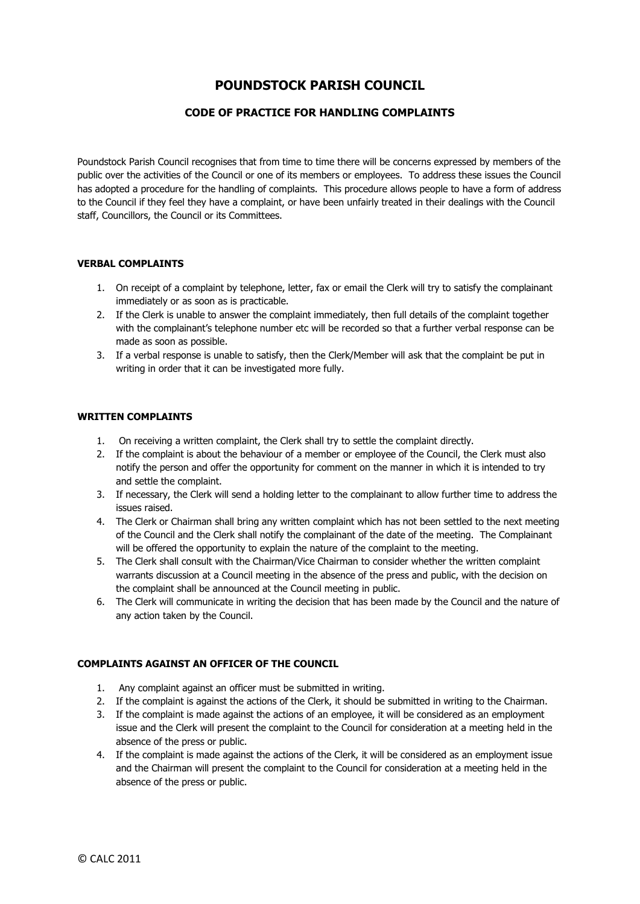# **POUNDSTOCK PARISH COUNCIL**

# **CODE OF PRACTICE FOR HANDLING COMPLAINTS**

Poundstock Parish Council recognises that from time to time there will be concerns expressed by members of the public over the activities of the Council or one of its members or employees. To address these issues the Council has adopted a procedure for the handling of complaints. This procedure allows people to have a form of address to the Council if they feel they have a complaint, or have been unfairly treated in their dealings with the Council staff, Councillors, the Council or its Committees.

## **VERBAL COMPLAINTS**

- 1. On receipt of a complaint by telephone, letter, fax or email the Clerk will try to satisfy the complainant immediately or as soon as is practicable.
- 2. If the Clerk is unable to answer the complaint immediately, then full details of the complaint together with the complainant's telephone number etc will be recorded so that a further verbal response can be made as soon as possible.
- 3. If a verbal response is unable to satisfy, then the Clerk/Member will ask that the complaint be put in writing in order that it can be investigated more fully.

#### **WRITTEN COMPLAINTS**

- 1. On receiving a written complaint, the Clerk shall try to settle the complaint directly.
- 2. If the complaint is about the behaviour of a member or employee of the Council, the Clerk must also notify the person and offer the opportunity for comment on the manner in which it is intended to try and settle the complaint.
- 3. If necessary, the Clerk will send a holding letter to the complainant to allow further time to address the issues raised.
- 4. The Clerk or Chairman shall bring any written complaint which has not been settled to the next meeting of the Council and the Clerk shall notify the complainant of the date of the meeting. The Complainant will be offered the opportunity to explain the nature of the complaint to the meeting.
- 5. The Clerk shall consult with the Chairman/Vice Chairman to consider whether the written complaint warrants discussion at a Council meeting in the absence of the press and public, with the decision on the complaint shall be announced at the Council meeting in public.
- 6. The Clerk will communicate in writing the decision that has been made by the Council and the nature of any action taken by the Council.

### **COMPLAINTS AGAINST AN OFFICER OF THE COUNCIL**

- 1. Any complaint against an officer must be submitted in writing.
- 2. If the complaint is against the actions of the Clerk, it should be submitted in writing to the Chairman.
- 3. If the complaint is made against the actions of an employee, it will be considered as an employment issue and the Clerk will present the complaint to the Council for consideration at a meeting held in the absence of the press or public.
- 4. If the complaint is made against the actions of the Clerk, it will be considered as an employment issue and the Chairman will present the complaint to the Council for consideration at a meeting held in the absence of the press or public.